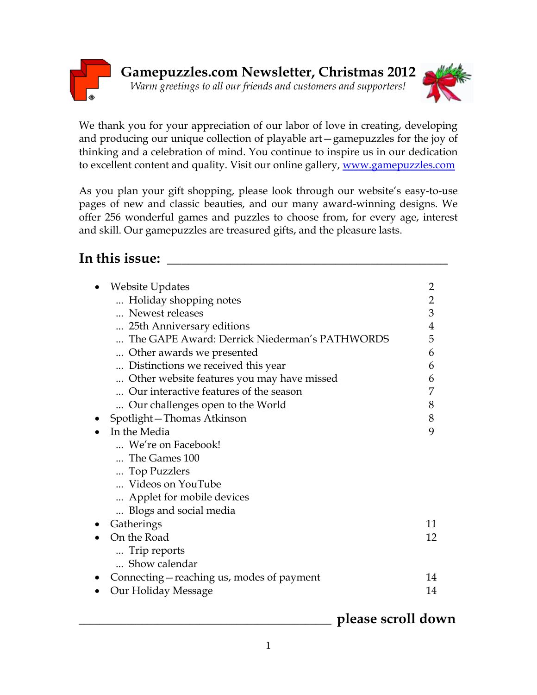

We thank you for your appreciation of our labor of love in creating, developing and producing our unique collection of playable art—gamepuzzles for the joy of thinking and a celebration of mind. You continue to inspire us in our dedication to excellent content and quality. Visit our online gallery, [www.gamepuzzles.com](http://www.gamepuzzles.com/)

As you plan your gift shopping, please look through our website's easy-to-use pages of new and classic beauties, and our many award-winning designs. We offer 256 wonderful games and puzzles to choose from, for every age, interest and skill. Our gamepuzzles are treasured gifts, and the pleasure lasts.

# **In this issue: \_\_\_\_\_\_\_\_\_\_\_\_\_\_\_\_\_\_\_\_\_\_\_\_\_\_\_\_\_\_\_\_\_\_\_\_\_\_\_\_**

| <b>Website Updates</b>                        | $\overline{2}$ |
|-----------------------------------------------|----------------|
| Holiday shopping notes                        | $\overline{2}$ |
| Newest releases                               | 3              |
| 25th Anniversary editions                     | 4              |
| The GAPE Award: Derrick Niederman's PATHWORDS | 5              |
| Other awards we presented                     | 6              |
| Distinctions we received this year.           | 6              |
| Other website features you may have missed    | 6              |
| Our interactive features of the season        |                |
| Our challenges open to the World              | 8              |
| Spotlight-Thomas Atkinson                     | 8              |
| In the Media                                  | 9              |
| We're on Facebook!                            |                |
| The Games 100                                 |                |
| Top Puzzlers                                  |                |
| Videos on YouTube                             |                |
| Applet for mobile devices                     |                |
| Blogs and social media                        |                |
| Gatherings                                    | 11             |
| On the Road                                   | 12             |
| Trip reports                                  |                |
| Show calendar                                 |                |
| Connecting – reaching us, modes of payment    | 14             |
| Our Holiday Message                           | 14             |
|                                               |                |

## \_\_\_\_\_\_\_\_\_\_\_\_\_\_\_\_\_\_\_\_\_\_\_\_\_\_\_\_\_\_\_\_\_\_\_\_\_\_\_\_\_\_\_\_\_\_\_\_ **please scroll down**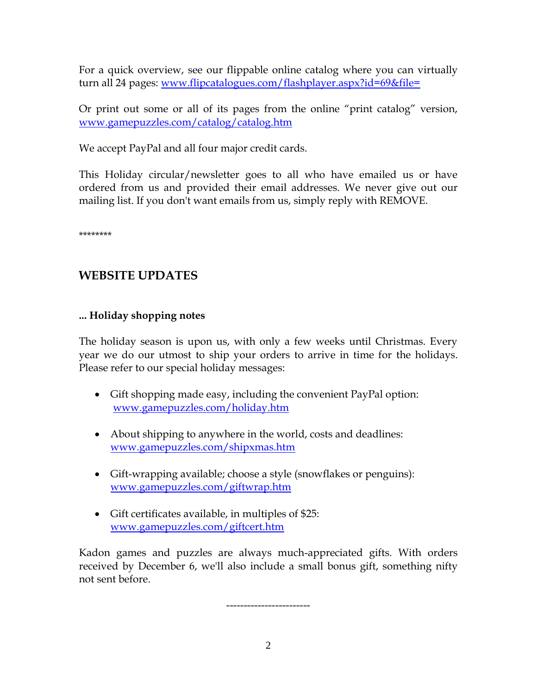For a quick overview, see our flippable online catalog where you can virtually turn all 24 pages: <www.flipcatalogues.com/flashplayer.aspx?id=69&file=>

Or print out some or all of its pages from the online "print catalog" version, [www.gamepuzzles.com/catalog/catalog.htm](http://www.gamepuzzles.com/catalog/catalog.htm)

We accept PayPal and all four major credit cards.

This Holiday circular/newsletter goes to all who have emailed us or have ordered from us and provided their email addresses. We never give out our mailing list. If you don't want emails from us, simply reply with REMOVE.

\*\*\*\*\*\*\*\*

## **WEBSITE UPDATES**

## **... Holiday shopping notes**

The holiday season is upon us, with only a few weeks until Christmas. Every year we do our utmost to ship your orders to arrive in time for the holidays. Please refer to our special holiday messages:

- Gift shopping made easy, including the convenient PayPal option: <www.gamepuzzles.com/holiday.htm>
- About shipping to anywhere in the world, costs and deadlines: <www.gamepuzzles.com/shipxmas.htm>
- Gift-wrapping available; choose a style (snowflakes or penguins): <www.gamepuzzles.com/giftwrap.htm>
- Gift certificates available, in multiples of \$25: [www.gamepuzzles.com/giftcert.htm](http://www.gamepuzzles.com/giftcert.htm)

Kadon games and puzzles are always much-appreciated gifts. With orders received by December 6, we'll also include a small bonus gift, something nifty not sent before.

------------------------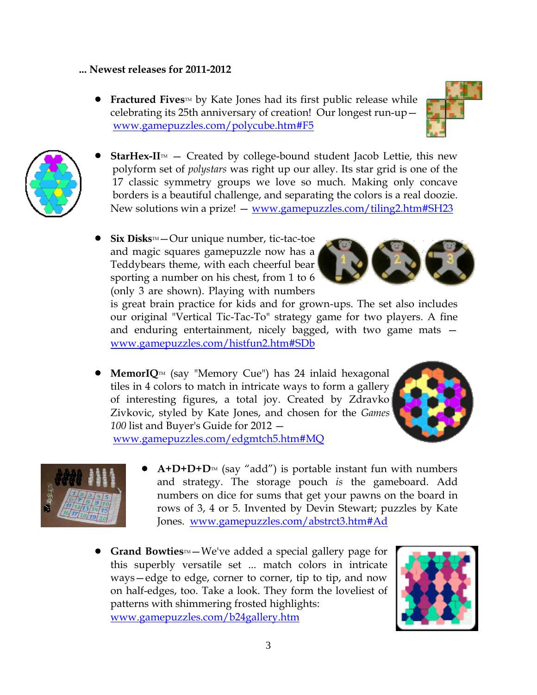### **... Newest releases for 2011-2012**

**Fractured Fives**<sup>M</sup> by Kate Jones had its first public release while celebrating its 25th anniversary of creation! Our longest run-up [www.gamepuzzles.com/polycube.htm#F5](http://www.gamepuzzles.com/polycube.htm#F5)





- **StarHex-II** $M$  Created by college-bound student Jacob Lettie, this new polyform set of *polystars* was right up our alley. Its star grid is one of the 17 classic symmetry groups we love so much. Making only concave borders is a beautiful challenge, and separating the colors is a real doozie. New solutions win a prize! — www.gamepuzzles.com/tiling2.htm#SH23
- **Six Disks™**—Our unique number, tic-tac-toe and magic squares gamepuzzle now has a Teddybears theme, with each cheerful bear sporting a number on his chest, from 1 to 6 (only 3 are shown). Playing with numbers



is great brain practice for kids and for grown-ups. The set also includes our original "Vertical Tic-Tac-To" strategy game for two players. A fine and enduring entertainment, nicely bagged, with two game mats [www.gamepuzzles.com/histfun2.htm#SDb](http://www.gamepuzzles.com/histfun2.htm#SDb)

**MemorIQ**<sup>IM</sup> (say "Memory Cue") has 24 inlaid hexagonal tiles in 4 colors to match in intricate ways to form a gallery of interesting figures, a total joy. Created by Zdravko Zivkovic, styled by Kate Jones, and chosen for the *Games 100* list and Buyer's Guide for 2012 —

[www.gamepuzzles.com/edgmtch5.htm#MQ](http://www.gamepuzzles.com/edgmtch5.htm#MQ)



- $A+D+D+D^{\mathsf{TM}}$  (say "add") is portable instant fun with numbers and strategy. The storage pouch *is* the gameboard. Add numbers on dice for sums that get your pawns on the board in rows of 3, 4 or 5. Invented by Devin Stewart; puzzles by Kate Jones. [www.gamepuzzles.com/abstrct3.htm#Ad](http://www.gamepuzzles.com/abstrct3.htm#Ad)
- **Grand Bowties**™–We've added a special gallery page for this superbly versatile set ... match colors in intricate ways—edge to edge, corner to corner, tip to tip, and now on half-edges, too. Take a look. They form the loveliest of patterns with shimmering frosted highlights: [www.gamepuzzles.com/b24gallery.htm](http://www.gamepuzzles.com/b24gallery.htm)

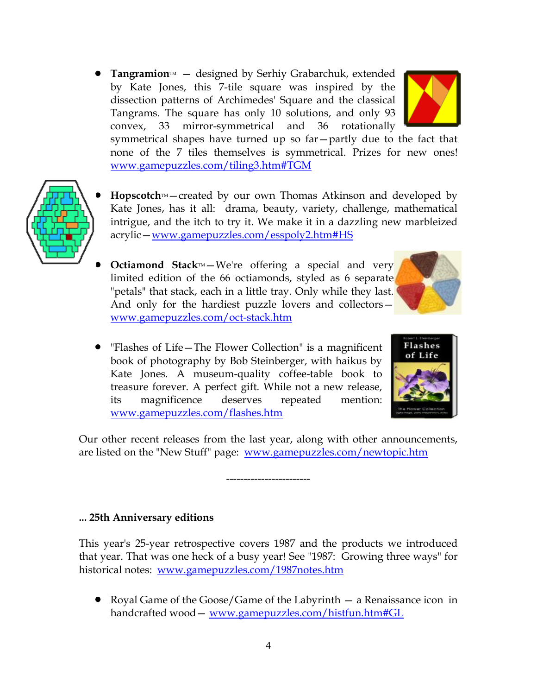**• Tangramion**<sup>M</sup> – designed by Serhiy Grabarchuk, extended by Kate Jones, this 7-tile square was inspired by the dissection patterns of Archimedes' Square and the classical Tangrams. The square has only 10 solutions, and only 93 convex, 33 mirror-symmetrical and 36 rotationally



- 
- Hopscotch<sup>™</sup>–created by our own Thomas Atkinson and developed by Kate Jones, has it all: drama, beauty, variety, challenge, mathematical intrigue, and the itch to try it. We make it in a dazzling new marbleized acrylic—<www.gamepuzzles.com/esspoly2.htm#HS>
- **Octiamond Stack**<sup>M</sup>-We're offering a special and very limited edition of the 66 octiamonds, styled as 6 separate "petals" that stack, each in a little tray. Only while they last. And only for the hardiest puzzle lovers and collectors [www.gamepuzzles.com/oct-stack.htm](http://www.gamepuzzles.com/oct-stack.htm)
- "Flashes of Life—The Flower Collection" is a magnificent book of photography by Bob Steinberger, with haikus by Kate Jones. A museum-quality coffee-table book to treasure forever. A perfect gift. While not a new release, its magnificence deserves repeated mention: <www.gamepuzzles.com/flashes.htm>



Our other recent releases from the last year, along with other announcements, are listed on the "New Stuff" page: <www.gamepuzzles.com/newtopic.htm>

------------------------

**... 25th Anniversary editions**

This year's 25-year retrospective covers 1987 and the products we introduced that year. That was one heck of a busy year! See "1987: Growing three ways" for historical notes: [www.gamepuzzles.com/1987notes.htm](http://www.gamepuzzles.com/1987notes.htm)

• Royal Game of the Goose/Game of the Labyrinth — a Renaissance icon in handcrafted wood— [www.gamepuzzles.com/histfun.htm#GL](http://www.gamepuzzles.com/histfun.htm#GL)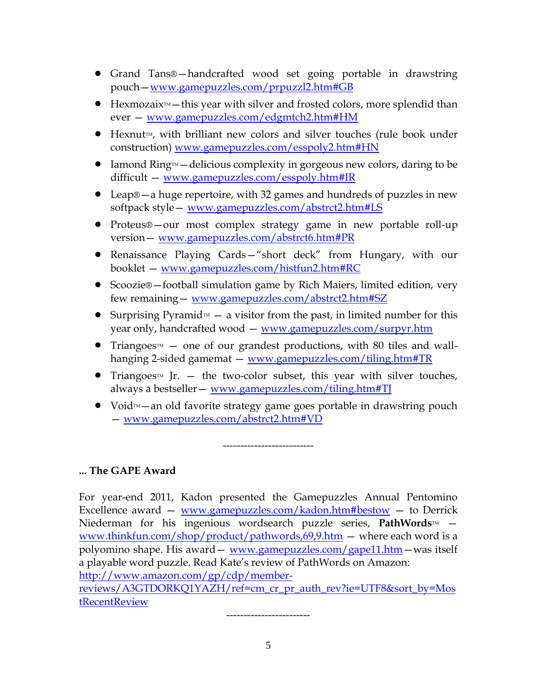- Grand Tans®—handcrafted wood set going portable in drawstring pouch—[www.gamepuzzles.com/prpuzzl2.htm#GB](http://www.gamepuzzles.com/prpuzzl2.htm#GB)
- $\bullet$  Hexmozaix<sup> $M$ </sup> this year with silver and frosted colors, more splendid than ever — [www.gamepuzzles.com/edgmtch2.htm#HM](http://www.gamepuzzles.com/edgmtch2.htm#HM)
- $\bullet$  Hexnut<sub>M</sub>, with brilliant new colors and silver touches (rule book under construction) [www.gamepuzzles.com/esspoly2.htm#HN](http://www.gamepuzzles.com/esspoly2.htm#HN)
- $\bullet$  Iamond Ring $M$ —delicious complexity in gorgeous new colors, daring to be difficult — [www.gamepuzzles.com/esspoly.htm#IR](http://www.gamepuzzles.com/esspoly.htm#IR)
- Leap®—a huge repertoire, with 32 games and hundreds of puzzles in new softpack style— [www.gamepuzzles.com/abstrct2.htm#LS](http://www.gamepuzzles.com/abstrct2.htm#LS)
- Proteus®—our most complex strategy game in new portable roll-up version— [www.gamepuzzles.com/abstrct6.htm#PR](http://www.gamepuzzles.com/abstrct6.htm#PR)
- Renaissance Playing Cards—"short deck" from Hungary, with our booklet — [www.gamepuzzles.com/histfun2.htm#RC](http://www.gamepuzzles.com/histfun2.htm#RC)
- Scoozie®—football simulation game by Rich Maiers, limited edition, very few remaining— [www.gamepuzzles.com/abstrct2.htm#SZ](http://www.gamepuzzles.com/abstrct2.htm#SZ)
- Surprising Pyramid $M a$  visitor from the past, in limited number for this year only, handcrafted wood — [www.gamepuzzles.com/surpyr.htm](http://www.gamepuzzles.com/surpyr.htm)
- Triangoes<sup> $M$ </sup> one of our grandest productions, with 80 tiles and wallhanging 2-sided gamemat — [www.gamepuzzles.com/tiling.htm#TR](http://www.gamepuzzles.com/tiling.htm#TR)
- Triangoes<sup> $M$ </sup> Jr. the two-color subset, this year with silver touches, always a bestseller— [www.gamepuzzles.com/tiling.htm#TJ](http://www.gamepuzzles.com/tiling.htm#TJ)
- Void $M a$ n old favorite strategy game goes portable in drawstring pouch — [www.gamepuzzles.com/abstrct2.htm#VD](http://www.gamepuzzles.com/abstrct2.htm#VD)

--------------------------

### **... The GAPE Award**

For year-end 2011, Kadon presented the Gamepuzzles Annual Pentomino Excellence award  $-$  [www.gamepuzzles.com/kadon.htm#bestow](http://www.gamepuzzles.com/kadon.htm#bestow)  $-$  to Derrick Niederman for his ingenious wordsearch puzzle series, **PathWords**™ – <www.thinkfun.com/shop/product/pathwords,69,9.htm> — where each word is a polyomino shape. His award — [www.gamepuzzles.com/gape11.htm](http://www.gamepuzzles.com/gape11.htm) — was itself a playable word puzzle. Read Kate's review of PathWords on Amazon: [http://www.amazon.com/gp/cdp/member-](http://www.amazon.com/gp/cdp/member-reviews/A3GTDORKQ1YAZH/ref=cm_cr_pr_auth_rev?ie=UTF8&sort_by=MostRecentReview)

[reviews/A3GTDORKQ1YAZH/ref=cm\\_cr\\_pr\\_auth\\_rev?ie=UTF8&sort\\_by=Mos](http://www.amazon.com/gp/cdp/member-reviews/A3GTDORKQ1YAZH/ref=cm_cr_pr_auth_rev?ie=UTF8&sort_by=MostRecentReview) **[tRecentReview](http://www.amazon.com/gp/cdp/member-reviews/A3GTDORKQ1YAZH/ref=cm_cr_pr_auth_rev?ie=UTF8&sort_by=MostRecentReview)** 

------------------------

5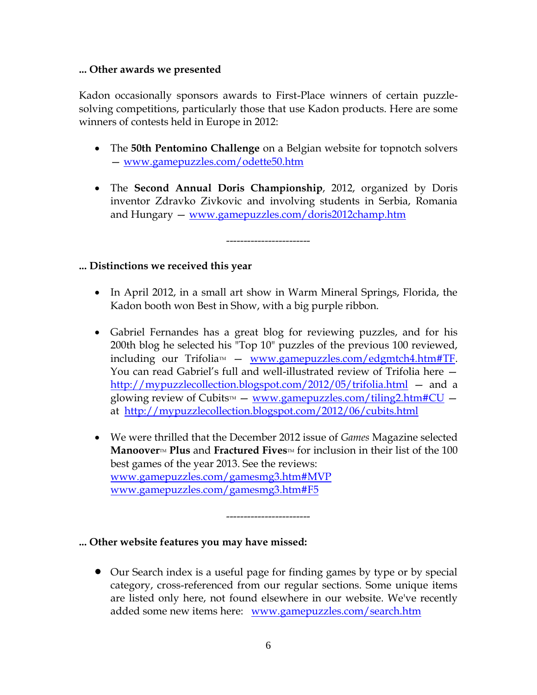### **... Other awards we presented**

Kadon occasionally sponsors awards to First-Place winners of certain puzzlesolving competitions, particularly those that use Kadon products. Here are some winners of contests held in Europe in 2012:

- The **50th Pentomino Challenge** on a Belgian website for topnotch solvers — [www.gamepuzzles.com/odette50.htm](http://www.gamepuzzles.com/odette50.htm)
- The **Second Annual Doris Championship**, 2012, organized by Doris inventor Zdravko Zivkovic and involving students in Serbia, Romania and Hungary — [www.gamepuzzles.com/doris2012champ.htm](http://www.gamepuzzles.com/doris2012champ.htm)

------------------------

## **... Distinctions we received this year**

- In April 2012, in a small art show in Warm Mineral Springs, Florida, the Kadon booth won Best in Show, with a big purple ribbon.
- Gabriel Fernandes has a great blog for reviewing puzzles, and for his 200th blog he selected his "Top 10" puzzles of the previous 100 reviewed,  $including$  our Trifolia $M \sim WWW$ .gamepuzzles.com/edgmtch4.htm#TF. You can read Gabriel's full and well-illustrated review of Trifolia here <http://mypuzzlecollection.blogspot.com/2012/05/trifolia.html> – and a glowing review of Cubits<sup> $M$ </sup> – [www.gamepuzzles.com/tiling2.htm#CU](http://www.gamepuzzles.com/tiling2.htm#CU) – at <http://mypuzzlecollection.blogspot.com/2012/06/cubits.html>
- We were thrilled that the December 2012 issue of *Games* Magazine selected **Manoover<sup>M</sup> Plus** and **Fractured Fives<sup>M</sup>** for inclusion in their list of the 100 best games of the year 2013. See the reviews: [www.gamepuzzles.com/gamesmg3.htm#MVP](http://www.gamepuzzles.com/gamesmg3.htm#MVP) [www.gamepuzzles.com/gamesmg3.htm#F5](http://www.gamepuzzles.com/gamesmg3.htm#F5)

------------------------

**... Other website features you may have missed:**

• Our Search index is a useful page for finding games by type or by special category, cross-referenced from our regular sections. Some unique items are listed only here, not found elsewhere in our website. We've recently added some new items here: <www.gamepuzzles.com/search.htm>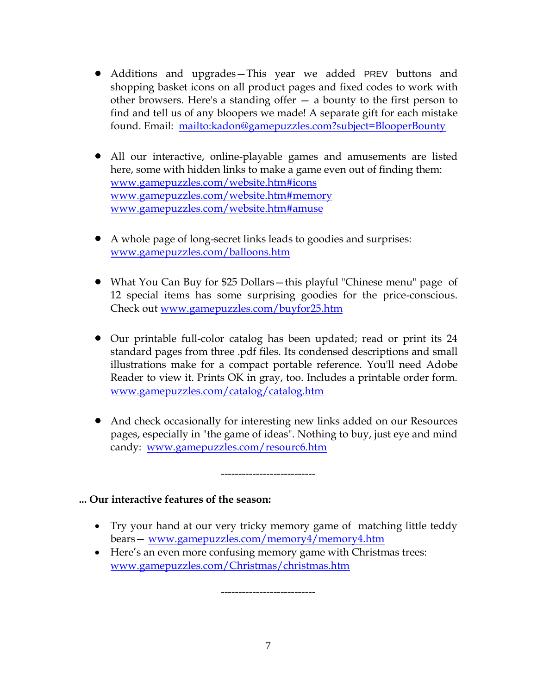- Additions and upgrades—This year we added PREV buttons and shopping basket icons on all product pages and fixed codes to work with other browsers. Here's a standing offer — a bounty to the first person to find and tell us of any bloopers we made! A separate gift for each mistake found. Email: <mailto:kadon@gamepuzzles.com?subject=BlooperBounty>
- All our interactive, online-playable games and amusements are listed here, some with hidden links to make a game even out of finding them: <www.gamepuzzles.com/website.htm#icons> <www.gamepuzzles.com/website.htm#memory> <www.gamepuzzles.com/website.htm#amuse>
- A whole page of long-secret links leads to goodies and surprises: <www.gamepuzzles.com/balloons.htm>
- What You Can Buy for \$25 Dollars—this playful "Chinese menu" page of 12 special items has some surprising goodies for the price-conscious. Check out<www.gamepuzzles.com/buyfor25.htm>
- Our printable full-color catalog has been updated; read or print its 24 standard pages from three .pdf files. Its condensed descriptions and small illustrations make for a compact portable reference. You'll need Adobe Reader to view it. Prints OK in gray, too. Includes a printable order form. [www.gamepuzzles.com/catalog/catalog.htm](http://www.gamepuzzles.com/catalog/catalog.htm)
- And check occasionally for interesting new links added on our Resources pages, especially in "the game of ideas". Nothing to buy, just eye and mind candy: <www.gamepuzzles.com/resourc6.htm>

-----------------------

### **... Our interactive features of the season:**

- Try your hand at our very tricky memory game of matching little teddy bears— <www.gamepuzzles.com/memory4/memory4.htm>
- Here's an even more confusing memory game with Christmas trees: <www.gamepuzzles.com/Christmas/christmas.htm>

-----------------------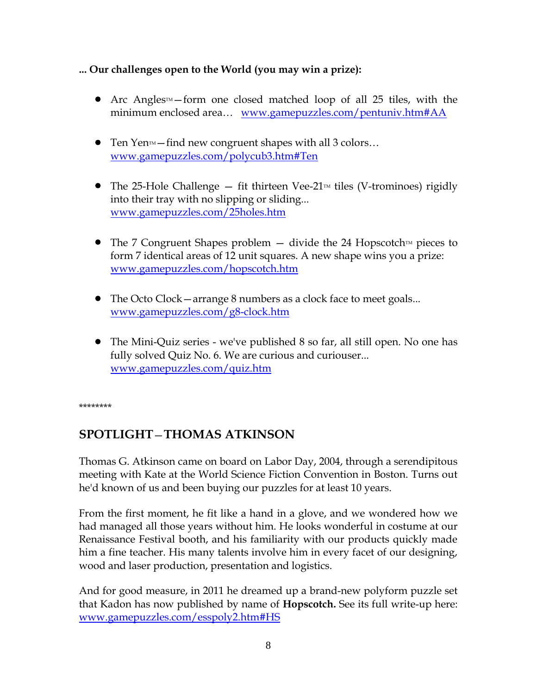## **... Our challenges open to the World (you may win a prize):**

- Arc Angles<sup> $M$ </sup> form one closed matched loop of all 25 tiles, with the minimum enclosed area... <www.gamepuzzles.com/pentuniv.htm#AA>
- Ten Yen<sup> $M$ </sup>—find new congruent shapes with all 3 colors... <www.gamepuzzles.com/polycub3.htm#Ten>
- The 25-Hole Challenge  $-$  fit thirteen Vee-21<sup> $\text{m}$ </sup> tiles (V-trominoes) rigidly into their tray with no slipping or sliding... <www.gamepuzzles.com/25holes.htm>
- The 7 Congruent Shapes problem  $-$  divide the 24 Hopscotch  $\mathbb{M}$  pieces to form 7 identical areas of 12 unit squares. A new shape wins you a prize: <www.gamepuzzles.com/hopscotch.htm>
- The Octo Clock arrange 8 numbers as a clock face to meet goals... <www.gamepuzzles.com/g8-clock.htm>
- The Mini-Quiz series we've published 8 so far, all still open. No one has fully solved Quiz No. 6. We are curious and curiouser... <www.gamepuzzles.com/quiz.htm>

\*\*\*\*\*\*\*\*

## **SPOTLIGHT**—**THOMAS ATKINSON**

Thomas G. Atkinson came on board on Labor Day, 2004, through a serendipitous meeting with Kate at the World Science Fiction Convention in Boston. Turns out he'd known of us and been buying our puzzles for at least 10 years.

From the first moment, he fit like a hand in a glove, and we wondered how we had managed all those years without him. He looks wonderful in costume at our Renaissance Festival booth, and his familiarity with our products quickly made him a fine teacher. His many talents involve him in every facet of our designing, wood and laser production, presentation and logistics.

And for good measure, in 2011 he dreamed up a brand-new polyform puzzle set that Kadon has now published by name of **Hopscotch.** See its full write-up here: [www.gamepuzzles.com/esspoly2.htm#HS](http://www.gamepuzzles.com/esspoly2.htm#HS)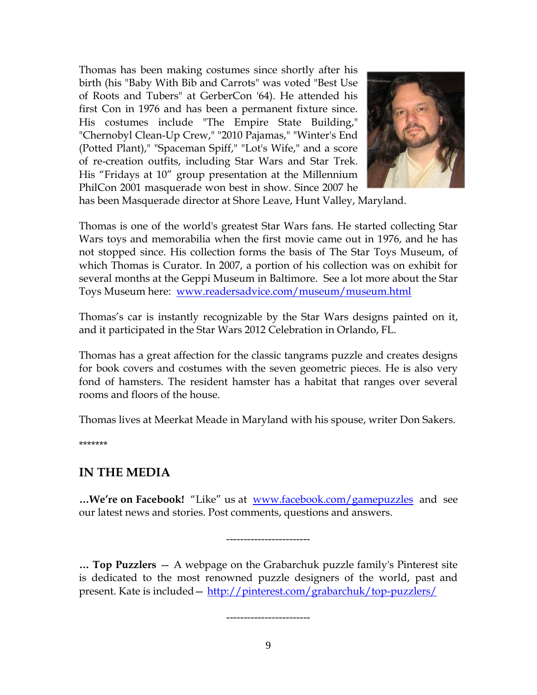Thomas has been making costumes since shortly after his birth (his "Baby With Bib and Carrots" was voted "Best Use of Roots and Tubers" at GerberCon '64). He attended his first Con in 1976 and has been a permanent fixture since. His costumes include "The Empire State Building," "Chernobyl Clean-Up Crew," "2010 Pajamas," "Winter's End (Potted Plant)," "Spaceman Spiff," "Lot's Wife," and a score of re-creation outfits, including Star Wars and Star Trek. His "Fridays at 10" group presentation at the Millennium PhilCon 2001 masquerade won best in show. Since 2007 he



has been Masquerade director at Shore Leave, Hunt Valley, Maryland.

Thomas is one of the world's greatest Star Wars fans. He started collecting Star Wars toys and memorabilia when the first movie came out in 1976, and he has not stopped since. His collection forms the basis of The Star Toys Museum, of which Thomas is Curator. In 2007, a portion of his collection was on exhibit for several months at the Geppi Museum in Baltimore. See a lot more about the Star Toys Museum here: [www.readersadvice.com/museum/museum.html](http://www.readersadvice.com/museum/museum.html)

Thomas's car is instantly recognizable by the Star Wars designs painted on it, and it participated in the Star Wars 2012 Celebration in Orlando, FL.

Thomas has a great affection for the classic tangrams puzzle and creates designs for book covers and costumes with the seven geometric pieces. He is also very fond of hamsters. The resident hamster has a habitat that ranges over several rooms and floors of the house.

Thomas lives at Meerkat Meade in Maryland with his spouse, writer Don Sakers.

\*\*\*\*\*\*\*

## **IN THE MEDIA**

**…We're on Facebook!** "Like" us at [www.facebook.com/gamepuzzles](http://www.facebook.com/gamepuzzles) and see our latest news and stories. Post comments, questions and answers.

------------------------

**… Top Puzzlers** — A webpage on the Grabarchuk puzzle family's Pinterest site is dedicated to the most renowned puzzle designers of the world, past and present. Kate is included — <http://pinterest.com/grabarchuk/top-puzzlers/>

------------------------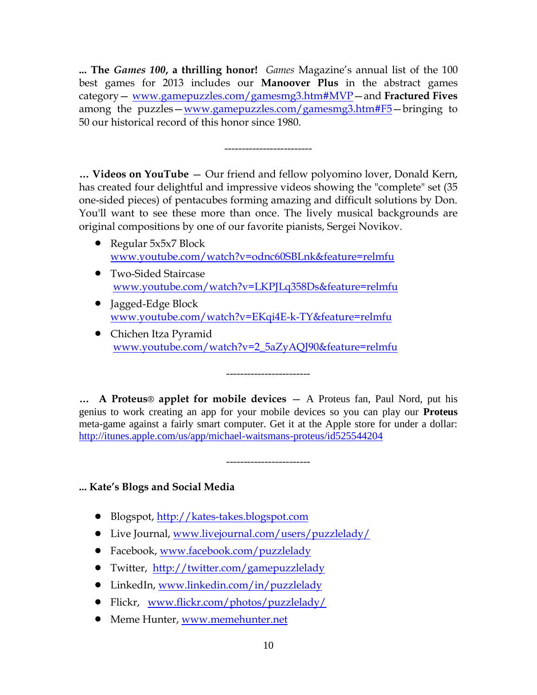**... The** *Games 100***, a thrilling honor!** *Games* Magazine's annual list of the 100 best games for 2013 includes our **Manoover Plus** in the abstract games category— [www.gamepuzzles.com/gamesmg3.htm#MVP](http://www.gamepuzzles.com/gamesmg3.htm#MVP)—and **Fractured Fives** among the puzzles—[www.gamepuzzles.com/gamesmg3.htm#F5](http://www.gamepuzzles.com/gamesmg3.htm#F5)—bringing to 50 our historical record of this honor since 1980.

-------------------------

**… Videos on YouTube** — Our friend and fellow polyomino lover, Donald Kern, has created four delightful and impressive videos showing the "complete" set (35 one-sided pieces) of pentacubes forming amazing and difficult solutions by Don. You'll want to see these more than once. The lively musical backgrounds are original compositions by one of our favorite pianists, Sergei Novikov.

- Regular 5x5x7 Block [www.youtube.com/watch?v=odnc60SBLnk&feature=relmfu](http://www.youtube.com/watch?v=odnc60SBLnk&feature=relmfu)
- Two-Sided Staircase [www.youtube.com/watch?v=LKPJLq358Ds&feature=relmfu](http://www.youtube.com/watch?v=LKPJLq358Ds&feature=relmfu)
- Jagged-Edge Block [www.youtube.com/watch?v=EKqi4E-k-TY&feature=relmfu](http://www.youtube.com/watch?v=EKqi4E-k-TY&feature=relmfu)
- Chichen Itza Pyramid [www.youtube.com/watch?v=2\\_5aZyAQJ90&feature=relmfu](http://www.youtube.com/watch?v=2_5aZyAQJ90&feature=relmfu)

------------------------

**… A Proteus**® **applet for mobile devices** — A Proteus fan, Paul Nord, put his genius to work creating an app for your mobile devices so you can play our **Proteus** meta-game against a fairly smart computer. Get it at the Apple store for under a dollar: <http://itunes.apple.com/us/app/michael-waitsmans-proteus/id525544204>

------------------------

**... Kate's Blogs and Social Media**

- Blogspot, [http://kates-takes.blogspot.com](http://kates-takes.blogspot.com/)
- Live Journal,<www.livejournal.com/users/puzzlelady/>
- Facebook,<www.facebook.com/puzzlelady>
- Twitter, <http://twitter.com/gamepuzzlelady>
- LinkedIn,<www.linkedin.com/in/puzzlelady>
- Flickr, [www.flickr.com/photos/puzzlelady/](http://www.flickr.com/photos/puzzlelady/)
- Meme Hunter, [www.memehunter.net](http://www.memehunter.net/)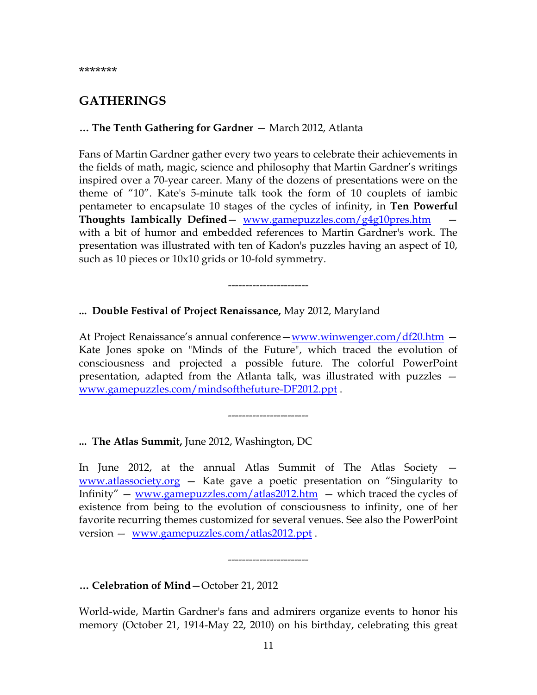## **GATHERINGS**

### **… The Tenth Gathering for Gardner** — March 2012, Atlanta

Fans of Martin Gardner gather every two years to celebrate their achievements in the fields of math, magic, science and philosophy that Martin Gardner's writings inspired over a 70-year career. Many of the dozens of presentations were on the theme of "10". Kate's 5-minute talk took the form of 10 couplets of iambic pentameter to encapsulate 10 stages of the cycles of infinity, in **Ten Powerful Thoughts Iambically Defined**— [www.gamepuzzles.com/g4g10pres.htm](http://www.gamepuzzles.com/g4g10pres.htm)  with a bit of humor and embedded references to Martin Gardner's work. The presentation was illustrated with ten of Kadon's puzzles having an aspect of 10, such as 10 pieces or 10x10 grids or 10-fold symmetry.

-----------------------

#### **... Double Festival of Project Renaissance,** May 2012, Maryland

At Project Renaissance's annual conference—[www.winwenger.com/df20.htm](http://www.winwenger.com/df20.htm) — Kate Jones spoke on "Minds of the Future", which traced the evolution of consciousness and projected a possible future. The colorful PowerPoint presentation, adapted from the Atlanta talk, was illustrated with puzzles [www.gamepuzzles.com/mindsofthefuture-DF2012.ppt](http://www.gamepuzzles.com/mindsofthefuture-DF2012.ppt) .

-----------------------

**... The Atlas Summit,** June 2012, Washington, DC

In June 2012, at the annual Atlas Summit of The Atlas Society [www.atlassociety.org](http://www.atlassociety.org/) — Kate gave a poetic presentation on "Singularity to Infinity" — [www.gamepuzzles.com/atlas2012.htm](http://www.gamepuzzles.com/atlas2012.htm) — which traced the cycles of existence from being to the evolution of consciousness to infinity, one of her favorite recurring themes customized for several venues. See also the PowerPoint version — [www.gamepuzzles.com/atlas2012.ppt](http://www.gamepuzzles.com/atlas2012.ppt) .

**… Celebration of Mind**—October 21, 2012

World-wide, Martin Gardner's fans and admirers organize events to honor his memory (October 21, 1914-May 22, 2010) on his birthday, celebrating this great

-----------------------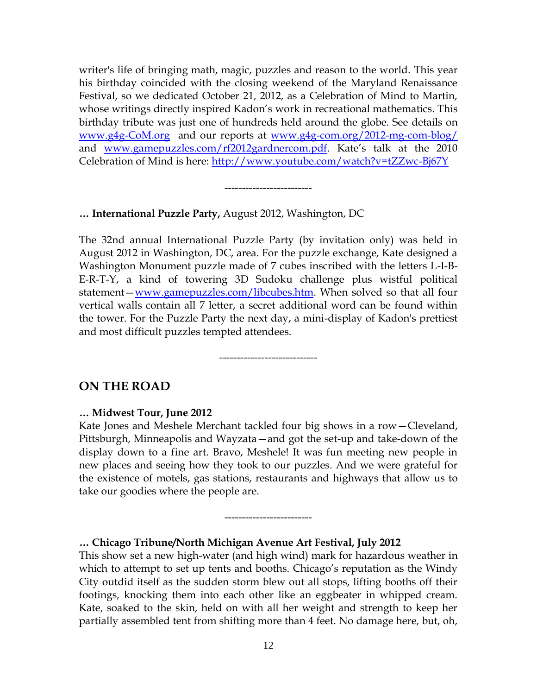writer's life of bringing math, magic, puzzles and reason to the world. This year his birthday coincided with the closing weekend of the Maryland Renaissance Festival, so we dedicated October 21, 2012, as a Celebration of Mind to Martin, whose writings directly inspired Kadon's work in recreational mathematics. This birthday tribute was just one of hundreds held around the globe. See details on [www.g4g-CoM.org](http://www.g4g-com.org/) and our reports at [www.g4g-com.org/2012-mg-com-blog/](http://www.g4g-com.org/2012-mg-com-blog/) and [www.gamepuzzles.com/rf2012gardnercom.pdf.](http://www.gamepuzzles.com/rf2012gardnercom.pdf) Kate's talk at the 2010 Celebration of Mind is here:<http://www.youtube.com/watch?v=tZZwc-Bj67Y>

-------------------------

#### **… International Puzzle Party,** August 2012, Washington, DC

The 32nd annual International Puzzle Party (by invitation only) was held in August 2012 in Washington, DC, area. For the puzzle exchange, Kate designed a Washington Monument puzzle made of 7 cubes inscribed with the letters L-I-B-E-R-T-Y, a kind of towering 3D Sudoku challenge plus wistful political statement—[www.gamepuzzles.com/libcubes.htm.](http://www.gamepuzzles.com/libcubes.htm) When solved so that all four vertical walls contain all 7 letter, a secret additional word can be found within the tower. For the Puzzle Party the next day, a mini-display of Kadon's prettiest and most difficult puzzles tempted attendees.

----------------------------

## **ON THE ROAD**

#### **… Midwest Tour, June 2012**

Kate Jones and Meshele Merchant tackled four big shows in a row—Cleveland, Pittsburgh, Minneapolis and Wayzata—and got the set-up and take-down of the display down to a fine art. Bravo, Meshele! It was fun meeting new people in new places and seeing how they took to our puzzles. And we were grateful for the existence of motels, gas stations, restaurants and highways that allow us to take our goodies where the people are.

-------------------------

#### **… Chicago Tribune/North Michigan Avenue Art Festival, July 2012**

This show set a new high-water (and high wind) mark for hazardous weather in which to attempt to set up tents and booths. Chicago's reputation as the Windy City outdid itself as the sudden storm blew out all stops, lifting booths off their footings, knocking them into each other like an eggbeater in whipped cream. Kate, soaked to the skin, held on with all her weight and strength to keep her partially assembled tent from shifting more than 4 feet. No damage here, but, oh,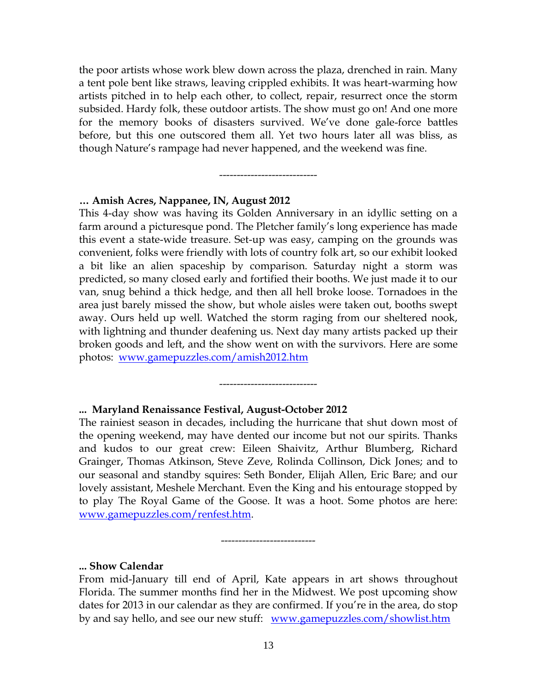the poor artists whose work blew down across the plaza, drenched in rain. Many a tent pole bent like straws, leaving crippled exhibits. It was heart-warming how artists pitched in to help each other, to collect, repair, resurrect once the storm subsided. Hardy folk, these outdoor artists. The show must go on! And one more for the memory books of disasters survived. We've done gale-force battles before, but this one outscored them all. Yet two hours later all was bliss, as though Nature's rampage had never happened, and the weekend was fine.

----------------------------

#### **… Amish Acres, Nappanee, IN, August 2012**

This 4-day show was having its Golden Anniversary in an idyllic setting on a farm around a picturesque pond. The Pletcher family's long experience has made this event a state-wide treasure. Set-up was easy, camping on the grounds was convenient, folks were friendly with lots of country folk art, so our exhibit looked a bit like an alien spaceship by comparison. Saturday night a storm was predicted, so many closed early and fortified their booths. We just made it to our van, snug behind a thick hedge, and then all hell broke loose. Tornadoes in the area just barely missed the show, but whole aisles were taken out, booths swept away. Ours held up well. Watched the storm raging from our sheltered nook, with lightning and thunder deafening us. Next day many artists packed up their broken goods and left, and the show went on with the survivors. Here are some photos: [www.gamepuzzles.com/amish2012.htm](http://www.gamepuzzles.com/amish2012.htm)

#### **... Maryland Renaissance Festival, August-October 2012**

The rainiest season in decades, including the hurricane that shut down most of the opening weekend, may have dented our income but not our spirits. Thanks and kudos to our great crew: Eileen Shaivitz, Arthur Blumberg, Richard Grainger, Thomas Atkinson, Steve Zeve, Rolinda Collinson, Dick Jones; and to our seasonal and standby squires: Seth Bonder, Elijah Allen, Eric Bare; and our lovely assistant, Meshele Merchant. Even the King and his entourage stopped by to play The Royal Game of the Goose. It was a hoot. Some photos are here: [www.gamepuzzles.com/renfest.htm.](www.gamepuzzles.com/renfest.htm)

----------------------------

**... Show Calendar**

From mid-January till end of April, Kate appears in art shows throughout Florida. The summer months find her in the Midwest. We post upcoming show dates for 2013 in our calendar as they are confirmed. If you're in the area, do stop by and say hello, and see our new stuff: [www.gamepuzzles.com/showlist.htm](http://www.gamepuzzles.com/showlist.htm)

-----------------------